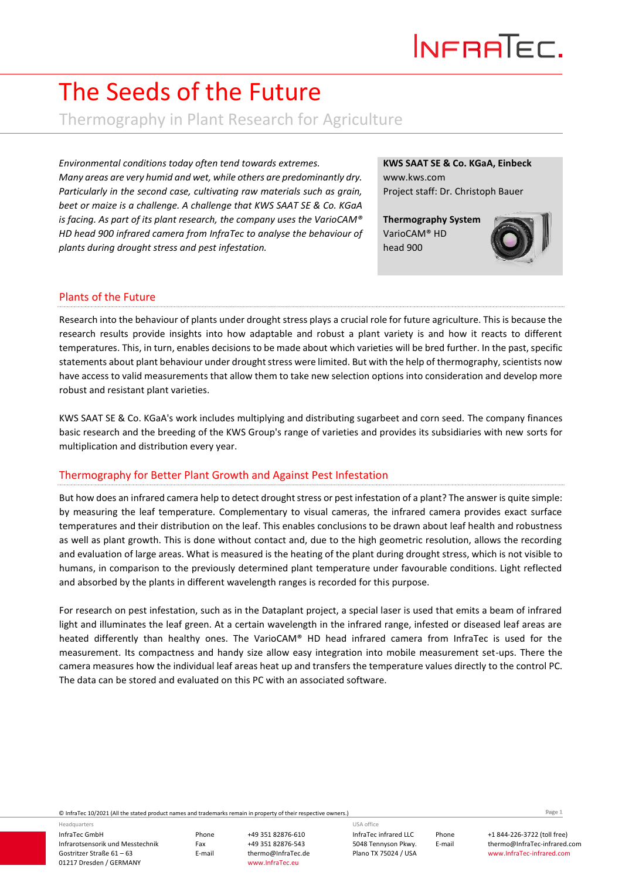## The Seeds of the Future

Thermography in Plant Research for Agriculture

*Many areas are very humid and wet, while others are predominantly dry. Particularly in the second case, cultivating raw materials such as grain, beet or maize is a challenge. A challenge that KWS SAAT SE & Co. KGaA is facing. As part of its plant research, the company uses the VarioCAM® HD head 900 infrared camera from InfraTec to analyse the behaviour of plants during drought stress and pest infestation.*

#### **KWS SAAT SE & Co. KGaA, Einbeck** www.kws.com Project staff: Dr. Christoph Bauer

**Thermography System** VarioCAM® HD head 900



### Plants of the Future

Research into the behaviour of plants under drought stress plays a crucial role for future agriculture. This is because the research results provide insights into how adaptable and robust a plant variety is and how it reacts to different temperatures. This, in turn, enables decisions to be made about which varieties will be bred further. In the past, specific statements about plant behaviour under drought stress were limited. But with the help of thermography, scientists now have access to valid measurements that allow them to take new selection options into consideration and develop more robust and resistant plant varieties.

KWS SAAT SE & Co. KGaA's work includes multiplying and distributing sugarbeet and corn seed. The company finances basic research and the breeding of the KWS Group's range of varieties and provides its subsidiaries with new sorts for multiplication and distribution every year.

#### Thermography for Better Plant Growth and Against Pest Infestation

Chronometric considers today given leard to conside estated product network remains remains and trademarks remains remains remains remains remains remains remains remains remains remains to the state of the state of the st But how does an infrared camera help to detect drought stress or pest infestation of a plant? The answer is quite simple: by measuring the leaf temperature. Complementary to visual cameras, the infrared camera provides exact surface temperatures and their distribution on the leaf. This enables conclusions to be drawn about leaf health and robustness as well as plant growth. This is done without contact and, due to the high geometric resolution, allows the recording and evaluation of large areas. What is measured is the heating of the plant during drought stress, which is not visible to humans, in comparison to the previously determined plant temperature under favourable conditions. Light reflected and absorbed by the plants in different wavelength ranges is recorded for this purpose.

For research on pest infestation, such as in the Dataplant project, a special laser is used that emits a beam of infrared light and illuminates the leaf green. At a certain wavelength in the infrared range, infested or diseased leaf areas are heated differently than healthy ones. The VarioCAM® HD head infrared camera from InfraTec is used for the measurement. Its compactness and handy size allow easy integration into mobile measurement set-ups. There the camera measures how the individual leaf areas heat up and transfers the temperature values directly to the control PC. The data can be stored and evaluated on this PC with an associated software.

InfraTec GmbH Infrarotsensorik und Messtechnik Gostritzer Straße 61 – 63 01217 Dresden / GERMANY Headquarters

Phone +49 351 82876-610

Fax +49 351 82876-543<br>E-mail thermo@InfraTec.d thermo@InfraTec.de www.InfraTec.eu

InfraTec infrared LLC 5048 Tennyson Pkwy. Plano TX 75024 / USA USA office

Seite **1**

Phone +1 844-226-3722 (toll free) E-mail thermo@InfraTec-infrared.com www.InfraTec-infrared.com